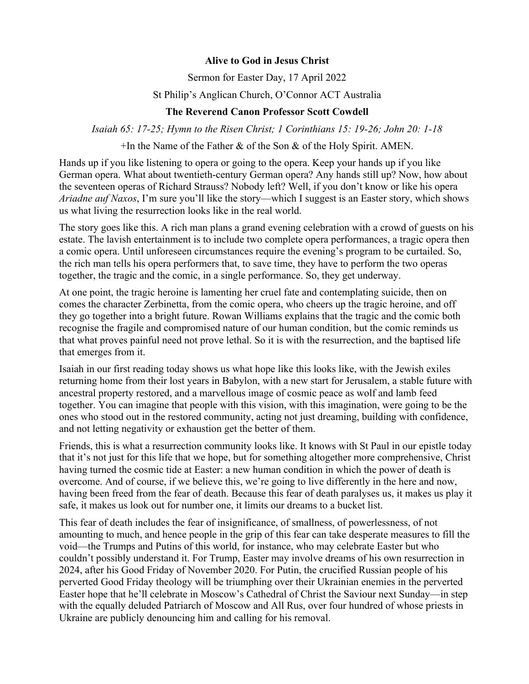## **Alive to God in Jesus Christ**

Sermon for Easter Day, 17 April 2022

## St Philip's Anglican Church, O'Connor ACT Australia

## **The Reverend Canon Professor Scott Cowdell**

*Isaiah 65: 17-25; Hymn to the Risen Christ; 1 Corinthians 15: 19-26; John 20: 1-18*

 $+$ In the Name of the Father & of the Son & of the Holy Spirit. AMEN.

Hands up if you like listening to opera or going to the opera. Keep your hands up if you like German opera. What about twentieth-century German opera? Any hands still up? Now, how about the seventeen operas of Richard Strauss? Nobody left? Well, if you don't know or like his opera *Ariadne auf Naxos*, I'm sure you'll like the story—which I suggest is an Easter story, which shows us what living the resurrection looks like in the real world.

The story goes like this. A rich man plans a grand evening celebration with a crowd of guests on his estate. The lavish entertainment is to include two complete opera performances, a tragic opera then a comic opera. Until unforeseen circumstances require the evening's program to be curtailed. So, the rich man tells his opera performers that, to save time, they have to perform the two operas together, the tragic and the comic, in a single performance. So, they get underway.

At one point, the tragic heroine is lamenting her cruel fate and contemplating suicide, then on comes the character Zerbinetta, from the comic opera, who cheers up the tragic heroine, and off they go together into a bright future. Rowan Williams explains that the tragic and the comic both recognise the fragile and compromised nature of our human condition, but the comic reminds us that what proves painful need not prove lethal. So it is with the resurrection, and the baptised life that emerges from it.

Isaiah in our first reading today shows us what hope like this looks like, with the Jewish exiles returning home from their lost years in Babylon, with a new start for Jerusalem, a stable future with ancestral property restored, and a marvellous image of cosmic peace as wolf and lamb feed together. You can imagine that people with this vision, with this imagination, were going to be the ones who stood out in the restored community, acting not just dreaming, building with confidence, and not letting negativity or exhaustion get the better of them.

Friends, this is what a resurrection community looks like. It knows with St Paul in our epistle today that it's not just for this life that we hope, but for something altogether more comprehensive, Christ having turned the cosmic tide at Easter: a new human condition in which the power of death is overcome. And of course, if we believe this, we're going to live differently in the here and now, having been freed from the fear of death. Because this fear of death paralyses us, it makes us play it safe, it makes us look out for number one, it limits our dreams to a bucket list.

This fear of death includes the fear of insignificance, of smallness, of powerlessness, of not amounting to much, and hence people in the grip of this fear can take desperate measures to fill the void—the Trumps and Putins of this world, for instance, who may celebrate Easter but who couldn't possibly understand it. For Trump, Easter may involve dreams of his own resurrection in 2024, after his Good Friday of November 2020. For Putin, the crucified Russian people of his perverted Good Friday theology will be triumphing over their Ukrainian enemies in the perverted Easter hope that he'll celebrate in Moscow's Cathedral of Christ the Saviour next Sunday—in step with the equally deluded Patriarch of Moscow and All Rus, over four hundred of whose priests in Ukraine are publicly denouncing him and calling for his removal.